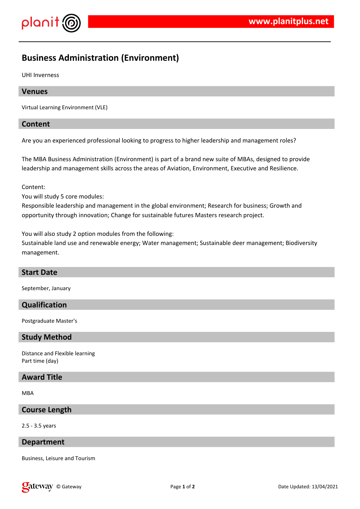

# **Business Administration (Environment)**

UHI Inverness

#### **Venues**

Virtual Learning Environment (VLE)

#### **Content**

Are you an experienced professional looking to progress to higher leadership and management roles?

The MBA Business Administration (Environment) is part of a brand new suite of MBAs, designed to provide leadership and management skills across the areas of Aviation, Environment, Executive and Resilience.

Content:

You will study 5 core modules:

Responsible leadership and management in the global environment; Research for business; Growth and opportunity through innovation; Change for sustainable futures Masters research project.

You will also study 2 option modules from the following:

Sustainable land use and renewable energy; Water management; Sustainable deer management; Biodiversity management.

#### **Start Date**

September, January

# **Qualification**

Postgraduate Master's

#### **Study Method**

Distance and Flexible learning Part time (day)

#### **Award Title**

MBA

# **Course Length**

2.5 - 3.5 years

#### **Department**

Business, Leisure and Tourism